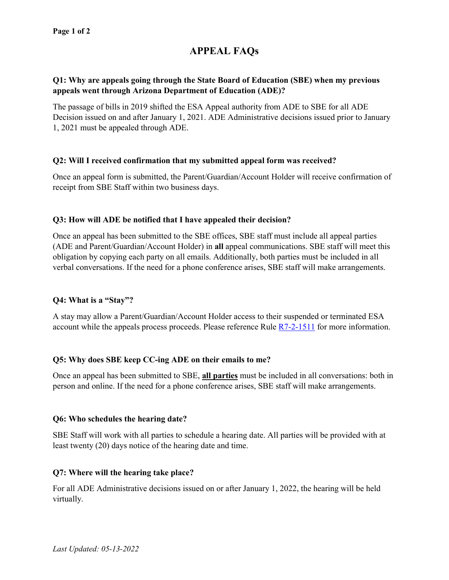# **APPEAL FAQs**

# **Q1: Why are appeals going through the State Board of Education (SBE) when my previous appeals went through Arizona Department of Education (ADE)?**

The passage of bills in 2019 shifted the ESA Appeal authority from ADE to SBE for all ADE Decision issued on and after January 1, 2021. ADE Administrative decisions issued prior to January 1, 2021 must be appealed through ADE.

## **Q2: Will I received confirmation that my submitted appeal form was received?**

Once an appeal form is submitted, the Parent/Guardian/Account Holder will receive confirmation of receipt from SBE Staff within two business days.

## **Q3: How will ADE be notified that I have appealed their decision?**

Once an appeal has been submitted to the SBE offices, SBE staff must include all appeal parties (ADE and Parent/Guardian/Account Holder) in **all** appeal communications. SBE staff will meet this obligation by copying each party on all emails. Additionally, both parties must be included in all verbal conversations. If the need for a phone conference arises, SBE staff will make arrangements.

# **Q4: What is a "Stay"?**

A stay may allow a Parent/Guardian/Account Holder access to their suspended or terminated ESA account while the appeals process proceeds. Please reference Rule [R7-2-1511](https://azsbe.az.gov/sites/default/files/media/1511%20-%20Appeals_.pdf) for more information.

## **Q5: Why does SBE keep CC-ing ADE on their emails to me?**

Once an appeal has been submitted to SBE, **all parties** must be included in all conversations: both in person and online. If the need for a phone conference arises, SBE staff will make arrangements.

## **Q6: Who schedules the hearing date?**

SBE Staff will work with all parties to schedule a hearing date. All parties will be provided with at least twenty (20) days notice of the hearing date and time.

## **Q7: Where will the hearing take place?**

For all ADE Administrative decisions issued on or after January 1, 2022, the hearing will be held virtually.